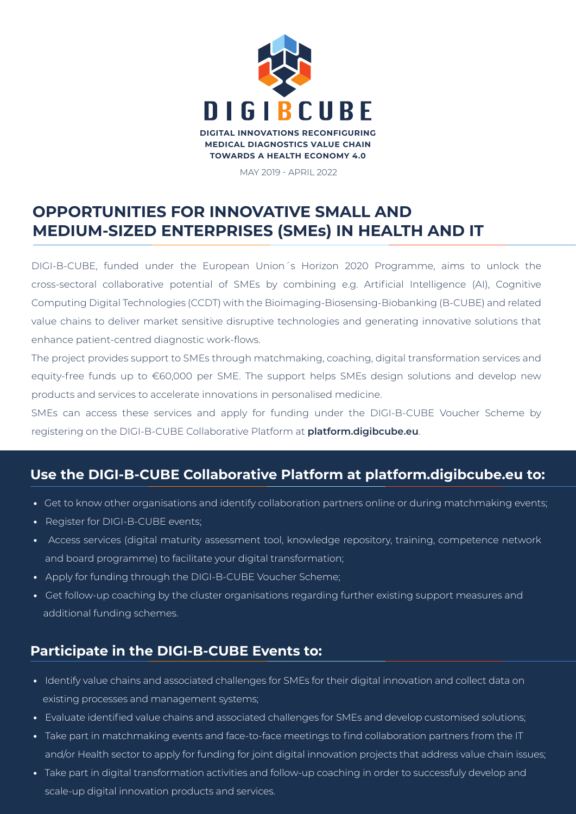

MAY 2019 - APRIL 2022

## **OPPORTUNITIES FOR INNOVATIVE SMALL AND MEDIUM-SIZED ENTERPRISES (SMEs) IN HEALTH AND IT**

DIGI-B-CUBE, funded under the European Union´s Horizon 2020 Programme, aims to unlock the cross-sectoral collaborative potential of SMEs by combining e.g. Artificial Intelligence (AI), Cognitive Computing Digital Technologies (CCDT) with the Bioimaging-Biosensing-Biobanking (B-CUBE) and related value chains to deliver market sensitive disruptive technologies and generating innovative solutions that enhance patient-centred diagnostic work-flows.

The project provides support to SMEs through matchmaking, coaching, digital transformation services and equity-free funds up to €60,000 per SME. The support helps SMEs design solutions and develop new products and services to accelerate innovations in personalised medicine.

SMEs can access these services and apply for funding under the DIGI-B-CUBE Voucher Scheme by registering on the DIGI-B-CUBE Collaborative Platform at **platform.digibcube.eu**.

## **Use the DIGI-B-CUBE Collaborative Platform at platform.digibcube.eu to:**

- **•** Get to know other organisations and identify collaboration partners online or during matchmaking events;
- Register for DIGI-B-CUBE events;
- Access services (digital maturity assessment tool, knowledge repository, training, competence network and board programme) to facilitate your digital transformation;
- Apply for funding through the DIGI-B-CUBE Voucher Scheme;
- Get follow-up coaching by the cluster organisations regarding further existing support measures and additional funding schemes.

### **Participate in the DIGI-B-CUBE Events to:**

- Identify value chains and associated challenges for SMEs for their digital innovation and collect data on existing processes and management systems;
- Evaluate identified value chains and associated challenges for SMEs and develop customised solutions;
- Take part in matchmaking events and face-to-face meetings to find collaboration partners from the IT and/or Health sector to apply for funding for joint digital innovation projects that address value chain issues;
- Take part in digital transformation activities and follow-up coaching in order to successfuly develop and scale-up digital innovation products and services.